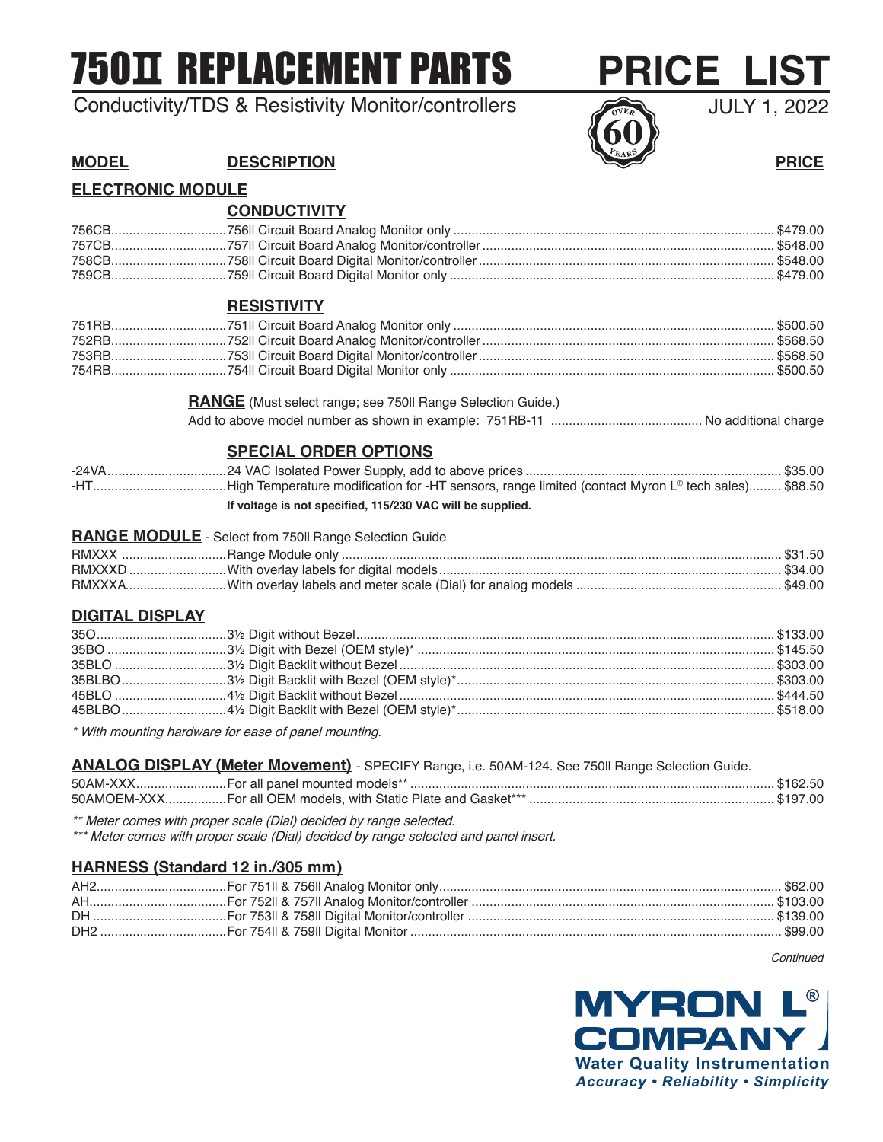# **750 T REPLACEMENT PARTS**

# Conductivity/TDS & Resistivity Monitor/controllers



# **MODEL DESCRIPTION PRICE**

# **ELECTRONIC MODULE**

|                        | <b>CONDUCTIVITY</b>                                                                                                                                        |  |
|------------------------|------------------------------------------------------------------------------------------------------------------------------------------------------------|--|
|                        |                                                                                                                                                            |  |
|                        |                                                                                                                                                            |  |
|                        |                                                                                                                                                            |  |
|                        |                                                                                                                                                            |  |
|                        | <b>RESISTIVITY</b>                                                                                                                                         |  |
|                        |                                                                                                                                                            |  |
|                        |                                                                                                                                                            |  |
|                        |                                                                                                                                                            |  |
|                        |                                                                                                                                                            |  |
|                        | <b>RANGE</b> (Must select range; see 750II Range Selection Guide.)                                                                                         |  |
|                        |                                                                                                                                                            |  |
|                        | <b>SPECIAL ORDER OPTIONS</b>                                                                                                                               |  |
|                        |                                                                                                                                                            |  |
|                        |                                                                                                                                                            |  |
|                        | If voltage is not specified, 115/230 VAC will be supplied.                                                                                                 |  |
|                        | <b>RANGE MODULE</b> - Select from 750II Range Selection Guide                                                                                              |  |
|                        |                                                                                                                                                            |  |
|                        |                                                                                                                                                            |  |
|                        |                                                                                                                                                            |  |
| <b>DIGITAL DISPLAY</b> |                                                                                                                                                            |  |
|                        |                                                                                                                                                            |  |
|                        |                                                                                                                                                            |  |
|                        |                                                                                                                                                            |  |
|                        |                                                                                                                                                            |  |
|                        |                                                                                                                                                            |  |
|                        |                                                                                                                                                            |  |
|                        | * With mounting hardware for ease of panel mounting.                                                                                                       |  |
|                        | ANALOG DISPLAY (Meter Movement) - SPECIFY Range, i.e. 50AM-124. See 750II Range Selection Guide.                                                           |  |
|                        |                                                                                                                                                            |  |
|                        | ** Meter comes with proper scale (Dial) decided by range selected.<br>*** Meter comes with proper scale (Dial) decided by range selected and panel insert. |  |
|                        | HARNESS (Standard 12 in./305 mm)                                                                                                                           |  |
|                        |                                                                                                                                                            |  |

AH......................................For 752II & 757II Analog Monitor/controller .................................................................................... \$103.00 DH .....................................For 753II & 758II Digital Monitor/controller ..................................................................................... \$139.00 DH2 ...................................For 754II & 759II Digital Monitor ....................................................................................................... \$99.00

**Continued**